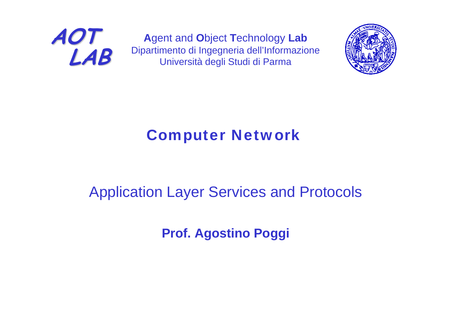

**A**gent and **O**bject **T**echnology **Lab** Dipartimento di Ingegneria dell'Informazione Università degli Studi di Parma



## Computer Network

## Application Layer Services and Protocols

**Prof. Agostino Poggi**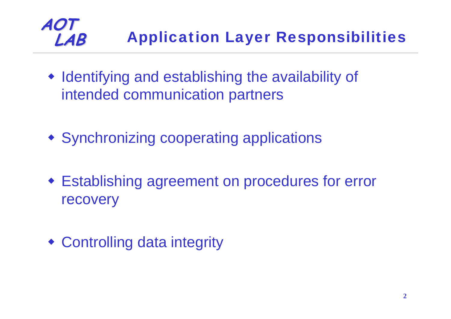### **AOT LAB** Application Layer Responsibilities

- Identifying and establishing the availability of intended communication partners
- Synchronizing cooperating applications
- Establishing agreement on procedures for error recovery
- Controlling data integrity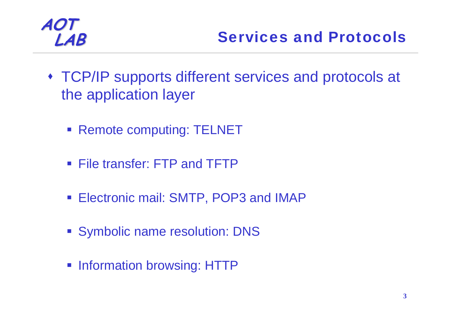- TCP/IP supports different services and protocols at the application layer
	- **Remote computing: TELNET**
	- File transfer: FTP and TFTP
	- **Electronic mail: SMTP, POP3 and IMAP**
	- Symbolic name resolution: DNS
	- **Information browsing: HTTP**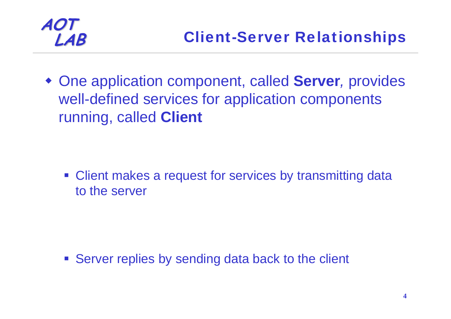

 One application component, called **Server***,* provides well-defined services for application components running, called **Client**

**• Client makes a request for services by transmitting data** to the server

**Server replies by sending data back to the client**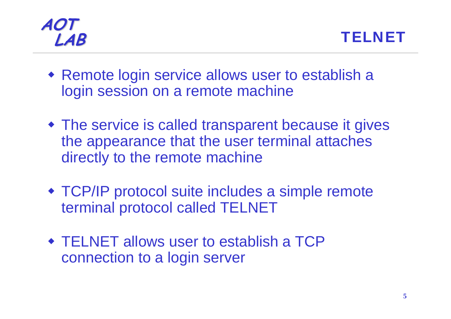



- Remote login service allows user to establish a login session on a remote machine
- The service is called transparent because it gives the appearance that the user terminal attaches directly to the remote machine
- TCP/IP protocol suite includes a simple remote terminal protocol called TELNET
- TELNET allows user to establish a TCP connection to a login server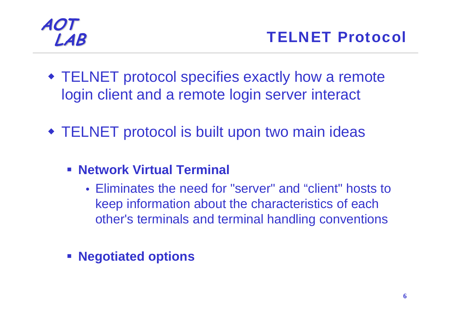

- TELNET protocol specifies exactly how a remote login client and a remote login server interact
- TELNET protocol is built upon two main ideas
	- **Network Virtual Terminal** 
		- Eliminates the need for "server" and "client" hosts to keep information about the characteristics of each other's terminals and terminal handling conventions
	- **Negotiated options**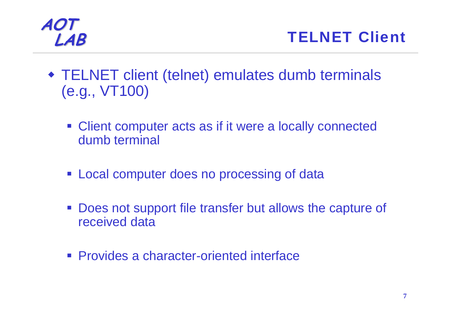

- TELNET client (telnet) emulates dumb terminals (e.g., VT100)
	- **Client computer acts as if it were a locally connected** dumb terminal
	- **Local computer does no processing of data**
	- $\mathcal{L}_{\text{max}}$  Does not support file transfer but allows the capture of received data
	- **Provides a character-oriented interface**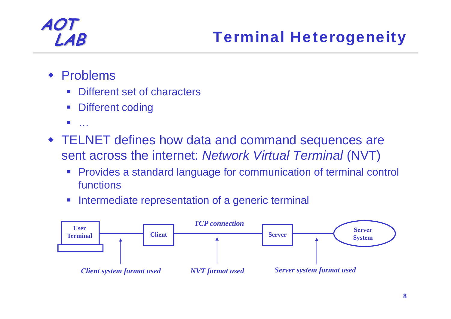- ♦ Problems
	- Different set of characters
	- Different coding
	- $\mathcal{L}_{\mathcal{A}}$ …
- TELNET defines how data and command sequences are sent across the internet: *Network Virtual Terminal* (NVT)
	- $\mathcal{L}_{\mathcal{A}}$  Provides a standard language for communication of terminal control functions
	- $\mathbb{R}^n$ Intermediate representation of a generic terminal

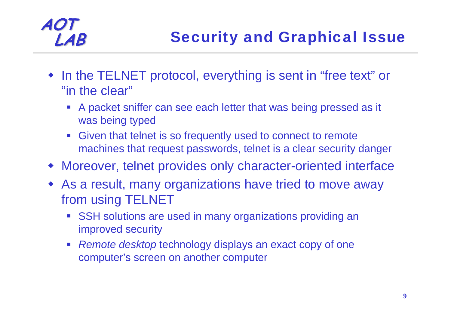- ♦ In the TELNET protocol, everything is sent in "free text" or "in the clear"
	- A packet sniffer can see each letter that was being pressed as it was being typed
	- Given that telnet is so frequently used to connect to remote machines that request passwords, telnet is a clear security danger
- Moreover, telnet provides only character-oriented interface
- As a result, many organizations have tried to move away from using TELNET
	- SSH solutions are used in many organizations providing an improved security
	- *Remote desktop* technology displays an exact copy of one computer's screen on another computer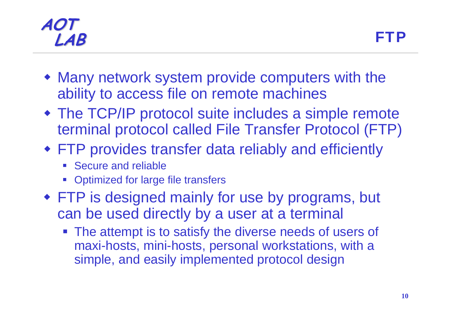### **AOT LAB** FTP

- Many network system provide computers with the ability to access file on remote machines
- The TCP/IP protocol suite includes a simple remote terminal protocol called File Transfer Protocol (FTP)
- FTP provides transfer data reliably and efficiently
	- b. Secure and reliable
	- F Optimized for large file transfers
- FTP is designed mainly for use by programs, but can be used directly by a user at a terminal
	- **The attempt is to satisfy the diverse needs of users of** maxi-hosts, mini-hosts, personal workstations, with a simple, and easily implemented protocol design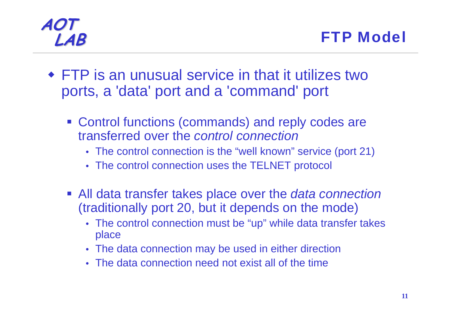- FTP is an unusual service in that it utilizes two ports, a 'data' port and a 'command' port
	- **Control functions (commands) and reply codes are** transferred over the *control connection*
		- The control connection is the "well known" service (port 21)
		- The control connection uses the TELNET protocol
	- All data transfer takes place over the *data connection*  (traditionally port 20, but it depends on the mode)
		- The control connection must be "up" while data transfer takes place
		- The data connection may be used in either direction
		- The data connection need not exist all of the time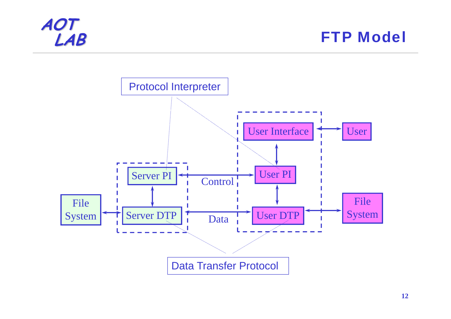

**FTP Model** 

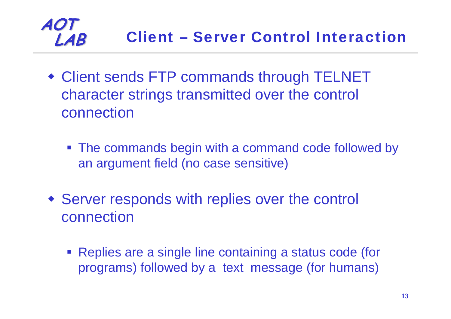### **AOT LAB** Client **–** Server Control Interaction

- Client sends FTP commands through TELNET character strings transmitted over the control connection
	- **The commands begin with a command code followed by** an argument field (no case sensitive)
- Server responds with replies over the control connection
	- **Replies are a single line containing a status code (for** programs) followed by a text message (for humans)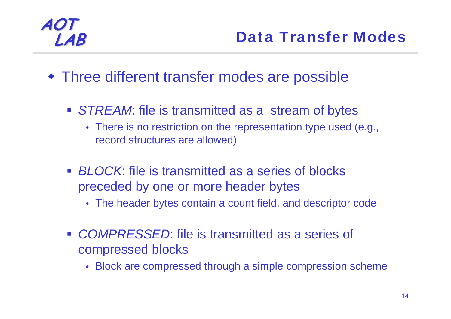- Three different transfer modes are possible
	- **STREAM:** file is transmitted as a stream of bytes
		- There is no restriction on the representation type used (e.g., record structures are allowed)
	- *BLOCK*: file is transmitted as a series of blocks preceded by one or more header bytes
		- The header bytes contain a count field, and descriptor code
	- *COMPRESSED*: file is transmitted as a series of compressed blocks
		- Block are compressed through a simple compression scheme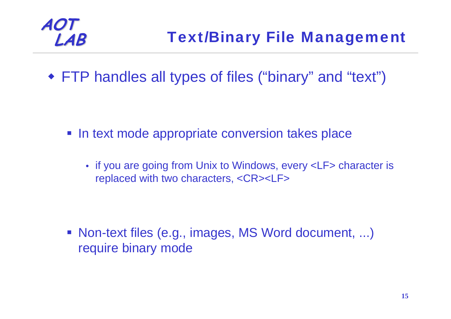

FTP handles all types of files ("binary" and "text")

- **In text mode appropriate conversion takes place** 
	- if you are going from Unix to Windows, every <LF> character is replaced with two characters, <CR><LF>

 Non-text files (e.g., images, MS Word document, ...) require binary mode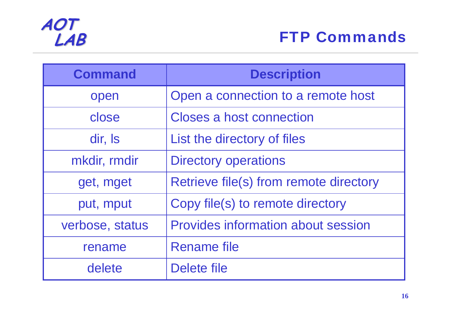

| <b>Command</b>  | <b>Description</b>                        |
|-----------------|-------------------------------------------|
| open            | Open a connection to a remote host        |
| close           | <b>Closes a host connection</b>           |
| dir, Is         | List the directory of files               |
| mkdir, rmdir    | <b>Directory operations</b>               |
| get, mget       | Retrieve file(s) from remote directory    |
| put, mput       | Copy file(s) to remote directory          |
| verbose, status | <b>Provides information about session</b> |
| rename          | <b>Rename file</b>                        |
| delete          | Delete file                               |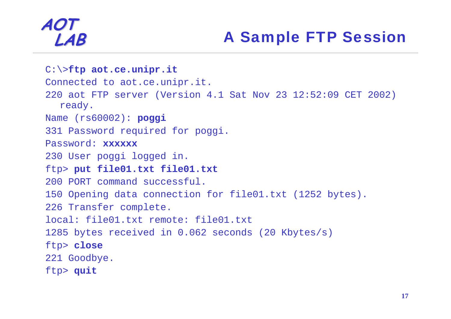## **LAB** A Sample FTP Session

```
C:\>ftp aot.ce.unipr.it
Connected to aot.ce.unipr.it.
220 aot FTP server (Version 4.1 Sat Nov 23 12:52:09 CET 2002) 
  ready. 
Name (rs60002): poggi
331 Password required for poggi. 
Password: xxxxxx230 User poggi logged in. 
ftp> put file01.txt file01.txt
200 PORT command successful. 150 Opening data connection for file01.txt (1252 bytes).
226 Transfer complete. 
local: file01.txt remote: file01.txt 1285 bytes received in 0.062 seconds (20 Kbytes/s) 
ftp> close
221 Goodbye. 
ftp> quit
```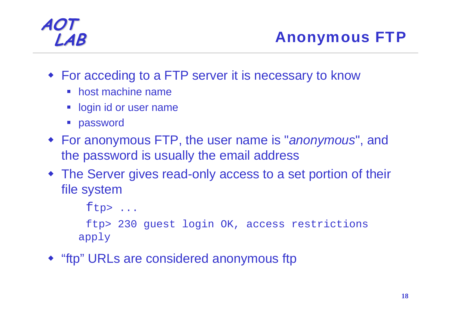- For acceding to a FTP server it is necessary to know
	- host machine name
	- **Deal of user name**
	- **password**
- For anonymous FTP, the user name is "*anonymous*", and the password is usually the email address
- The Server gives read-only access to a set portion of their file system

```
ftp, \ldots
```
ftp> 230 guest login OK, access restrictions apply

"ftp" URLs are considered anonymous ftp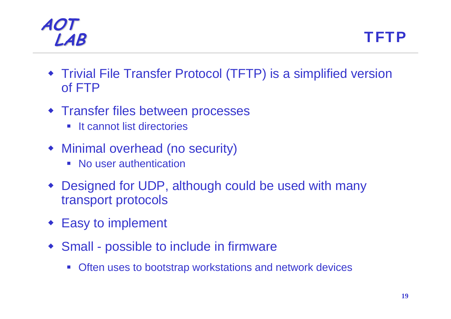### **AOT LAB** TFTP

- Trivial File Transfer Protocol (TFTP) is a simplified version of FTP
- **\* Transfer files between processes** 
	- **Service Service** It cannot list directories
- Minimal overhead (no security)
	- **No user authentication**
- Designed for UDP, although could be used with many transport protocols
- ♦ Easy to implement
- Small possible to include in firmware
	- Often uses to bootstrap workstations and network devices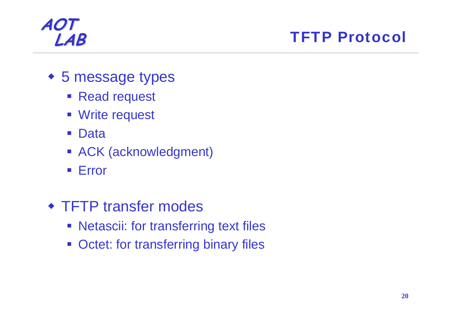## **LAB** TFTP Protocol

- 5 message types
	- **Read request**
	- **Write request**
	- $\mathcal{L}^{\text{max}}$ Data
	- ACK (acknowledgment)
	- **Error**
- **\* TFTP transfer modes** 
	- **Netascii: for transferring text files**
	- **Octet: for transferring binary files**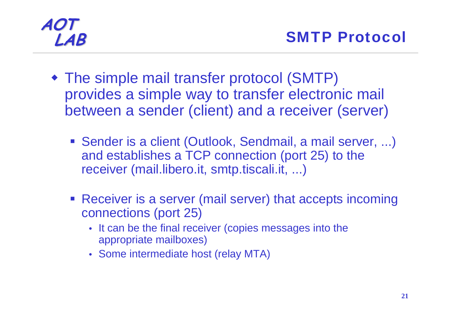- The simple mail transfer protocol (SMTP) provides a simple way to transfer electronic mail between a sender (client) and a receiver (server)
	- Sender is a client (Outlook, Sendmail, a mail server, ...) and establishes a TCP connection (port 25) to the receiver (mail.libero.it, smtp.tiscali.it, ...)
	- **Receiver is a server (mail server) that accepts incoming** connections (port 25)
		- It can be the final receiver (copies messages into the appropriate mailboxes)
		- Some intermediate host (relay MTA)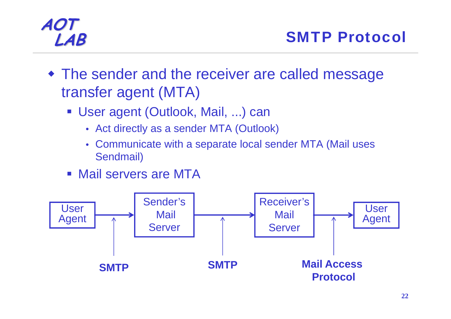- The sender and the receiver are called message transfer agent (MTA)
	- User agent (Outlook, Mail, ...) can
		- Act directly as a sender MTA (Outlook)
		- Communicate with a separate local sender MTA (Mail uses Sendmail)
	- Mail servers are MTA

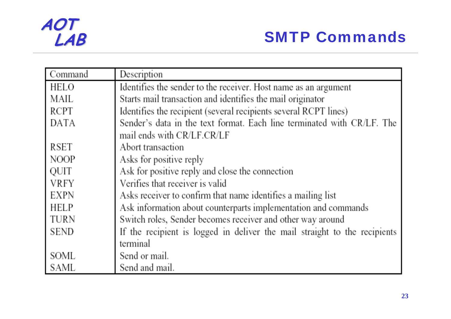## **SMTP Commands**

| Command     | Description                                                               |  |
|-------------|---------------------------------------------------------------------------|--|
| HELO        | Identifies the sender to the receiver. Host name as an argument           |  |
| MAIL        | Starts mail transaction and identifies the mail originator                |  |
| RCPT        | Identifies the recipient (several recipients several RCPT lines)          |  |
| DATA        | Sender's data in the text format. Each line terminated with CR/LF. The    |  |
|             | mail ends with CR/LF.CR/LF                                                |  |
| RSET        | Abort transaction                                                         |  |
| <b>NOOP</b> | Asks for positive reply                                                   |  |
| QUIT        | Ask for positive reply and close the connection                           |  |
| VRFY        | Verifies that receiver is valid                                           |  |
| EXPN        | Asks receiver to confirm that name identifies a mailing list              |  |
| HELP        | Ask information about counterparts implementation and commands            |  |
| TURN        | Switch roles, Sender becomes receiver and other way around                |  |
| SEND        | If the recipient is logged in deliver the mail straight to the recipients |  |
|             | terminal                                                                  |  |
| SOML        | Send or mail.                                                             |  |
| SAML        | Send and mail.                                                            |  |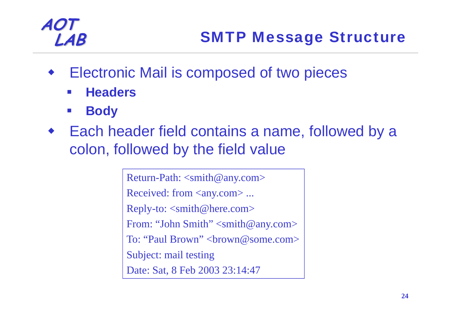- ♦ Electronic Mail is composed of two pieces
	- $\sim$ **Headers**
	- $\mathcal{L}_{\mathcal{A}}$ **Body**
- ♦ Each header field contains a name, followed by a colon, followed by the field value

Return-Path: <smith@any.com> Received: from <any.com> ... Reply-to: <smith@here.com> From: "John Smith" <smith@any.com> To: "Paul Brown" < brown @some.com > Subject: mail testing Date: Sat, 8 Feb 2003 23:14:47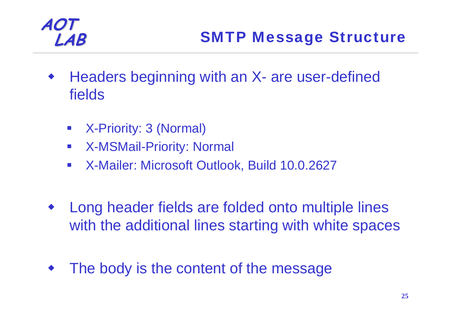- ♦ Headers beginning with an X- are user-defined fields
	- $\overline{\mathcal{L}_{\mathcal{A}}}$ X-Priority: 3 (Normal)
	- $\mathcal{L}_{\mathcal{A}}$ X-MSMail-Priority: Normal
	- $\mathcal{L}^{\text{eff}}$ X-Mailer: Microsoft Outlook, Build 10.0.2627
- ♦ Long header fields are folded onto multiple lines with the additional lines starting with white spaces
- ♦ The body is the content of the message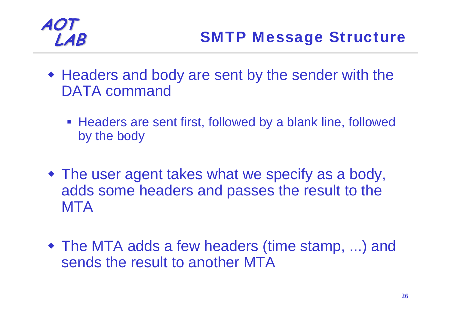

- Headers and body are sent by the sender with the DATA command
	- **Headers are sent first, followed by a blank line, followed** by the body
- The user agent takes what we specify as a body, adds some headers and passes the result to the **MTA**
- The MTA adds a few headers (time stamp, ...) and sends the result to another MTA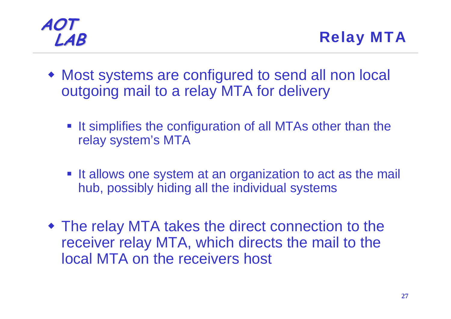**LAB** Relay MTA

- Most systems are configured to send all non local outgoing mail to a relay MTA for delivery
	- **It simplifies the configuration of all MTAs other than the** relay system's MTA
	- It allows one system at an organization to act as the mail hub, possibly hiding all the individual systems
- The relay MTA takes the direct connection to the receiver relay MTA, which directs the mail to the local MTA on the receivers host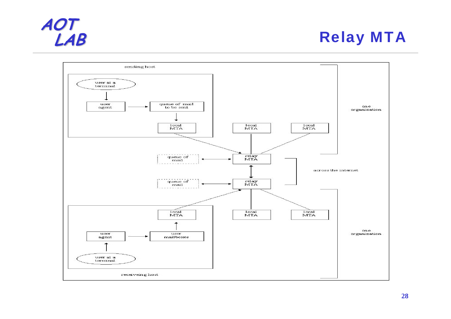## **Relay MTA**



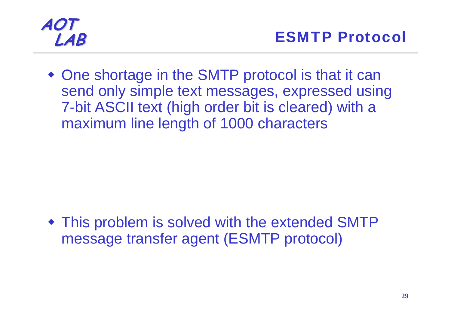

 One shortage in the SMTP protocol is that it can send only simple text messages, expressed using 7-bit ASCII text (high order bit is cleared) with a maximum line length of 1000 characters

 This problem is solved with the extended SMTP message transfer agent (ESMTP protocol)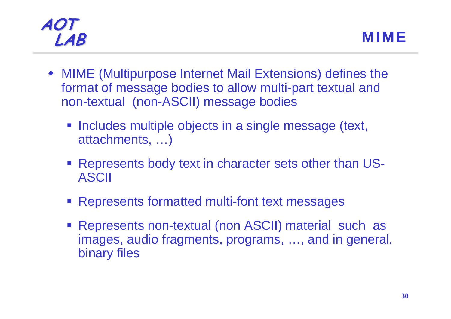- MIME (Multipurpose Internet Mail Extensions) defines the format of message bodies to allow multi-part textual and non-textual (non-ASCII) message bodies
	- **Includes multiple objects in a single message (text,** attachments, …)
	- Represents body text in character sets other than US-ASCII
	- Represents formatted multi-font text messages
	- **Represents non-textual (non ASCII) material such as** images, audio fragments, programs, …, and in general, binary files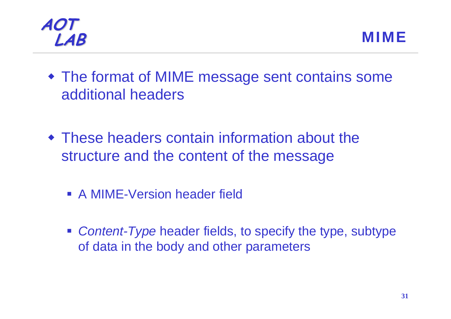



- The format of MIME message sent contains some additional headers
- These headers contain information about the structure and the content of the message
	- **A MIME-Version header field**
	- *Content-Type* header fields, to specify the type, subtype of data in the body and other parameters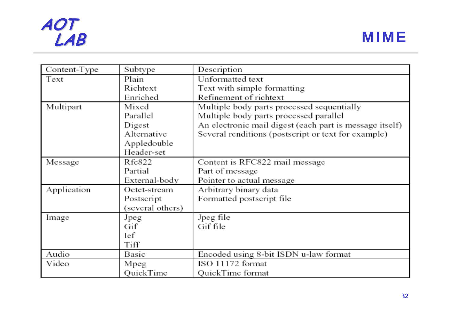### **AOT LAB** MIME

| Content-Type | Subtype          | Description                                             |
|--------------|------------------|---------------------------------------------------------|
| Text         | Plain            | Unformatted text                                        |
|              | Richtext         | Text with simple formatting                             |
|              | Enriched         | Refinement of richtext                                  |
| Multipart    | Mixed            | Multiple body parts processed sequentially              |
|              | Parallel         | Multiple body parts processed parallel                  |
|              | Digest           | An electronic mail digest (each part is message itself) |
|              | Alternative      | Several renditions (postscript or text for example)     |
|              |                  |                                                         |
|              | Appledouble      |                                                         |
|              | Header-set       |                                                         |
| Message      | Rfc822           | Content is RFC822 mail message                          |
|              | Partial          | Part of message                                         |
|              | External-body    | Pointer to actual message                               |
| Application  | Octet-stream     | Arbitrary binary data                                   |
|              | Postscript       | Formatted postscript file                               |
|              | (several others) |                                                         |
| Image        | Jpeg             | Jpeg file                                               |
|              | Gif              | Gif file                                                |
|              | Ief              |                                                         |
|              | Tiff             |                                                         |
| Audio        | Basic            | Encoded using 8-bit ISDN u-law format                   |
| Video        | Mpeg             | ISO 11172 format                                        |
|              | QuickTime        | QuickTime format                                        |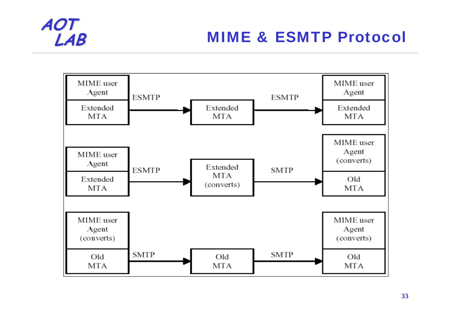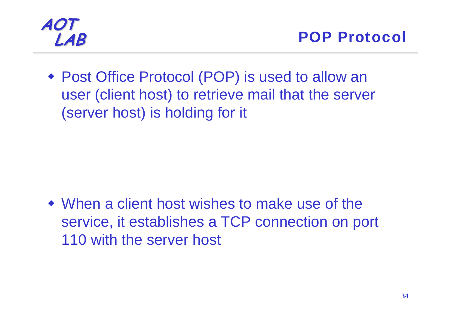

 Post Office Protocol (POP) is used to allow an user (client host) to retrieve mail that the server (server host) is holding for it

 When a client host wishes to make use of the service, it establishes a TCP connection on port 110 with the server host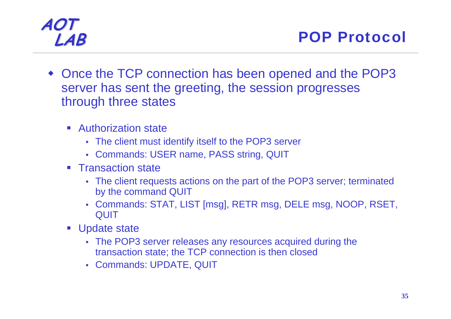**LAB** POP Protocol

- Once the TCP connection has been opened and the POP3 server has sent the greeting, the session progresses through three states
	- **Authorization state** 
		- The client must identify itself to the POP3 server
		- Commands: USER name, PASS string, QUIT
	- **Transaction state** 
		- The client requests actions on the part of the POP3 server; terminated by the command QUIT
		- Commands: STAT, LIST [msg], RETR msg, DELE msg, NOOP, RSET, **QUIT**
	- **Update state** 
		- The POP3 server releases any resources acquired during the transaction state; the TCP connection is then closed
		- Commands: UPDATE, QUIT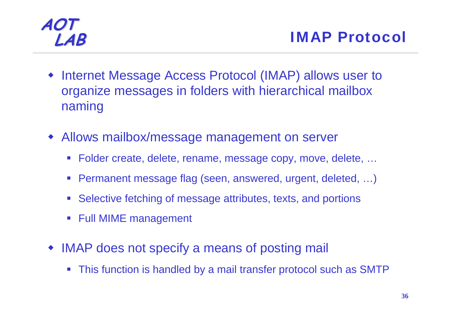- ♦ Internet Message Access Protocol (IMAP) allows user to organize messages in folders with hierarchical mailbox naming
- Allows mailbox/message management on server
	- Folder create, delete, rename, message copy, move, delete, ...
	- Permanent message flag (seen, answered, urgent, deleted, …)
	- Selective fetching of message attributes, texts, and portions
	- Full MIME management
- IMAP does not specify a means of posting mail
	- $\mathcal{L}_{\mathcal{A}}$ This function is handled by a mail transfer protocol such as SMTP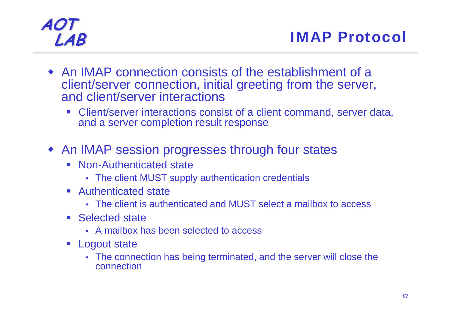- An IMAP connection consists of the establishment of a client/server connection, initial greeting from the server, and client/server interactions
	- Client/server interactions consist of a client command, server data, and a server completion result response
- An IMAP session progresses through four states
	- Non-Authenticated state
		- The client MUST supply authentication credentials
	- Authenticated state
		- The client is authenticated and MUST select a mailbox to access
	- Selected state
		- A mailbox has been selected to access
	- **Logout state** 
		- The connection has being terminated, and the server will close the connection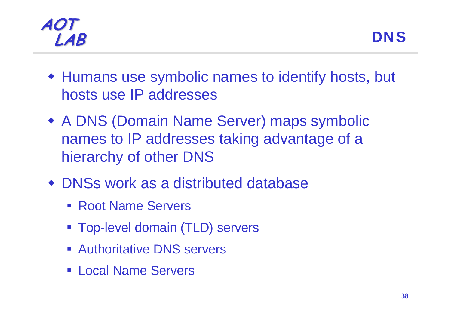

- Humans use symbolic names to identify hosts, but hosts use IP addresses
- A DNS (Domain Name Server) maps symbolic names to IP addresses taking advantage of a hierarchy of other DNS
- DNSs work as a distributed database
	- Root Name Servers
	- Top-level domain (TLD) servers
	- **Authoritative DNS servers**
	- **ELocal Name Servers**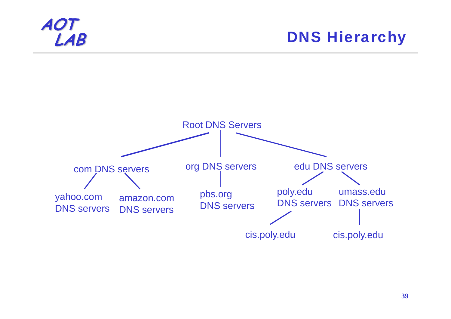

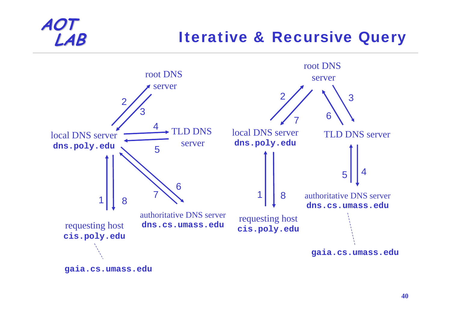## **LAB** Iterative & Recursive Query



**gaia.cs.umass.edu**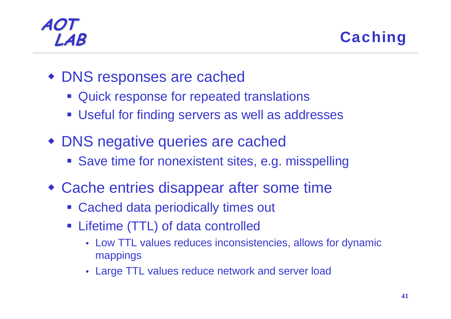**LAB** Caching

- DNS responses are cached
	- **Quick response for repeated translations**
	- Useful for finding servers as well as addresses
- DNS negative queries are cached
	- **Save time for nonexistent sites, e.g. misspelling**
- Cache entries disappear after some time
	- Cached data periodically times out
	- Lifetime (TTL) of data controlled
		- Low TTL values reduces inconsistencies, allows for dynamic mappings
		- Large TTL values reduce network and server load